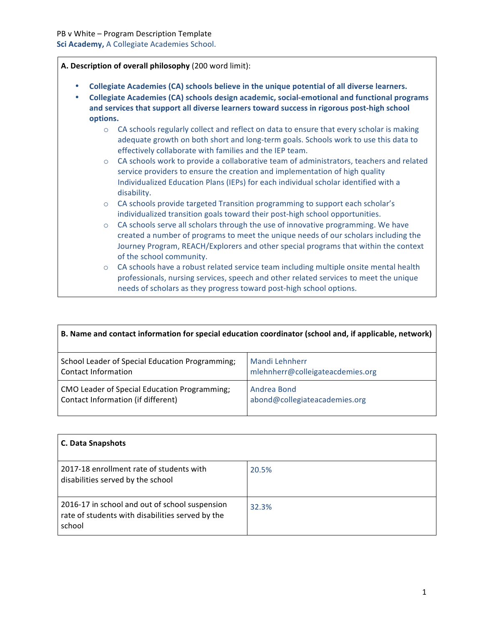**A. Description of overall philosophy** (200 word limit):

- **Collegiate Academies (CA) schools believe in the unique potential of all diverse learners.**
- **Collegiate Academies (CA) schools design academic, social-emotional and functional programs and services that support all diverse learners toward success in rigorous post-high school options.**
	- $\circ$  CA schools regularly collect and reflect on data to ensure that every scholar is making adequate growth on both short and long-term goals. Schools work to use this data to effectively collaborate with families and the IEP team.
	- $\circ$  CA schools work to provide a collaborative team of administrators, teachers and related service providers to ensure the creation and implementation of high quality Individualized Education Plans (IEPs) for each individual scholar identified with a disability.
	- o CA schools provide targeted Transition programming to support each scholar's individualized transition goals toward their post-high school opportunities.
	- o CA schools serve all scholars through the use of innovative programming. We have created a number of programs to meet the unique needs of our scholars including the Journey Program, REACH/Explorers and other special programs that within the context of the school community.
	- $\circ$  CA schools have a robust related service team including multiple onsite mental health professionals, nursing services, speech and other related services to meet the unique needs of scholars as they progress toward post-high school options.

| B. Name and contact information for special education coordinator (school and, if applicable, network) |                                  |
|--------------------------------------------------------------------------------------------------------|----------------------------------|
| School Leader of Special Education Programming;                                                        | Mandi Lehnherr                   |
| Contact Information                                                                                    | mlehnherr@colleigateacdemies.org |
| CMO Leader of Special Education Programming;                                                           | Andrea Bond                      |
| Contact Information (if different)                                                                     | abond@collegiateacademies.org    |

| <b>C. Data Snapshots</b>                                                                                     |       |
|--------------------------------------------------------------------------------------------------------------|-------|
| 2017-18 enrollment rate of students with<br>disabilities served by the school                                | 20.5% |
| 2016-17 in school and out of school suspension<br>rate of students with disabilities served by the<br>school | 32.3% |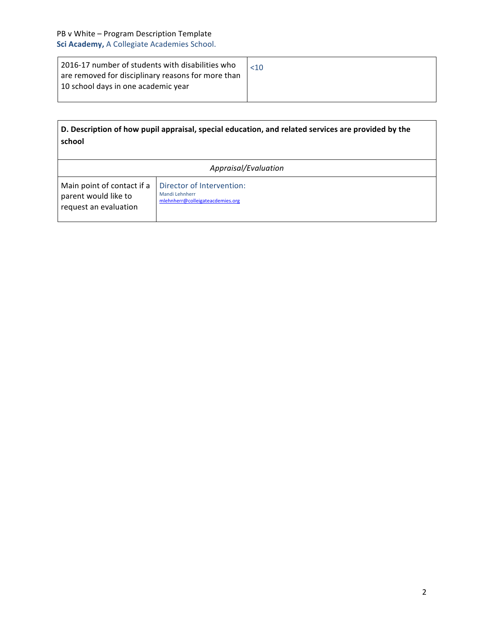| 2016-17 number of students with disabilities who   |  |
|----------------------------------------------------|--|
| are removed for disciplinary reasons for more than |  |
| 10 school days in one academic year                |  |
|                                                    |  |

| D. Description of how pupil appraisal, special education, and related services are provided by the |  |
|----------------------------------------------------------------------------------------------------|--|
| school                                                                                             |  |

| Appraisal/Evaluation                                                        |                                                                                        |
|-----------------------------------------------------------------------------|----------------------------------------------------------------------------------------|
| Main point of contact if a<br>parent would like to<br>request an evaluation | Director of Intervention:<br><b>Mandi Lehnherr</b><br>mlehnherr@colleigateacdemies.org |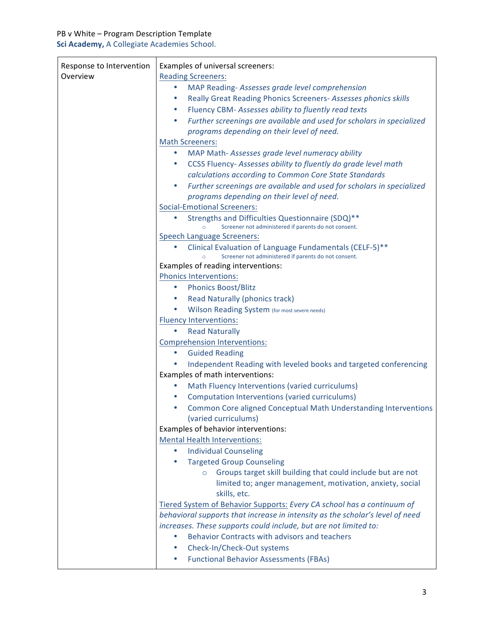| Response to Intervention | Examples of universal screeners:                                                   |
|--------------------------|------------------------------------------------------------------------------------|
| Overview                 | <b>Reading Screeners:</b>                                                          |
|                          | MAP Reading-Assesses grade level comprehension<br>٠                                |
|                          | Really Great Reading Phonics Screeners- Assesses phonics skills<br>$\bullet$       |
|                          | Fluency CBM- Assesses ability to fluently read texts<br>$\bullet$                  |
|                          | Further screenings are available and used for scholars in specialized<br>$\bullet$ |
|                          | programs depending on their level of need.                                         |
|                          | <b>Math Screeners:</b>                                                             |
|                          | MAP Math- Assesses grade level numeracy ability<br>۰                               |
|                          | CCSS Fluency-Assesses ability to fluently do grade level math<br>$\bullet$         |
|                          | calculations according to Common Core State Standards                              |
|                          | Further screenings are available and used for scholars in specialized<br>$\bullet$ |
|                          | programs depending on their level of need.                                         |
|                          | <b>Social-Emotional Screeners:</b>                                                 |
|                          | Strengths and Difficulties Questionnaire (SDQ)**<br>$\bullet$                      |
|                          | Screener not administered if parents do not consent.                               |
|                          | <b>Speech Language Screeners:</b>                                                  |
|                          | Clinical Evaluation of Language Fundamentals (CELF-5)**<br>۰                       |
|                          | Screener not administered if parents do not consent.                               |
|                          | Examples of reading interventions:                                                 |
|                          | <b>Phonics Interventions:</b>                                                      |
|                          | <b>Phonics Boost/Blitz</b><br>۰                                                    |
|                          | Read Naturally (phonics track)<br>$\bullet$                                        |
|                          | Wilson Reading System (for most severe needs)<br>۰                                 |
|                          | <b>Fluency Interventions:</b>                                                      |
|                          | <b>Read Naturally</b><br>٠                                                         |
|                          | <b>Comprehension Interventions:</b>                                                |
|                          | <b>Guided Reading</b><br>٠                                                         |
|                          | Independent Reading with leveled books and targeted conferencing                   |
|                          | Examples of math interventions:                                                    |
|                          | Math Fluency Interventions (varied curriculums)                                    |
|                          | Computation Interventions (varied curriculums)<br>٠                                |
|                          | Common Core aligned Conceptual Math Understanding Interventions<br>٠               |
|                          | (varied curriculums)                                                               |
|                          | Examples of behavior interventions:                                                |
|                          | <b>Mental Health Interventions:</b>                                                |
|                          | <b>Individual Counseling</b><br>$\bullet$                                          |
|                          | <b>Targeted Group Counseling</b>                                                   |
|                          | Groups target skill building that could include but are not<br>$\circ$             |
|                          | limited to; anger management, motivation, anxiety, social                          |
|                          | skills, etc.                                                                       |
|                          | Tiered System of Behavior Supports: Every CA school has a continuum of             |
|                          | behavioral supports that increase in intensity as the scholar's level of need      |
|                          | increases. These supports could include, but are not limited to:                   |
|                          | Behavior Contracts with advisors and teachers<br>$\bullet$                         |
|                          | Check-In/Check-Out systems<br>$\bullet$                                            |
|                          | <b>Functional Behavior Assessments (FBAs)</b>                                      |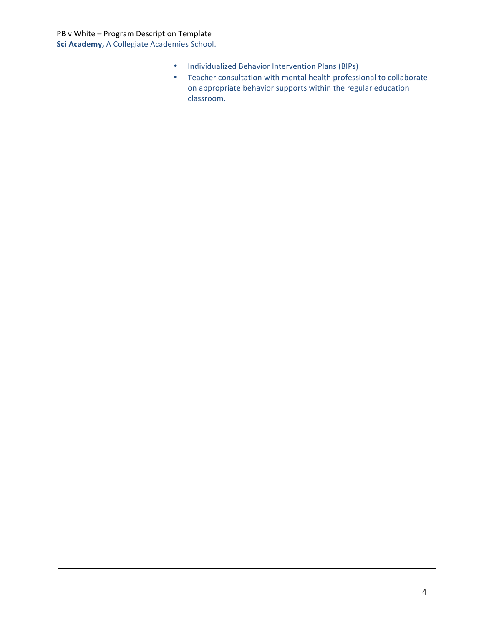$\overline{a}$ 

| Individualized Behavior Intervention Plans (BIPs)<br>$\bullet$<br>Teacher consultation with mental health professional to collaborate<br>$\bullet$<br>on appropriate behavior supports within the regular education<br>classroom. |
|-----------------------------------------------------------------------------------------------------------------------------------------------------------------------------------------------------------------------------------|
|                                                                                                                                                                                                                                   |
|                                                                                                                                                                                                                                   |
|                                                                                                                                                                                                                                   |
|                                                                                                                                                                                                                                   |
|                                                                                                                                                                                                                                   |
|                                                                                                                                                                                                                                   |
|                                                                                                                                                                                                                                   |
|                                                                                                                                                                                                                                   |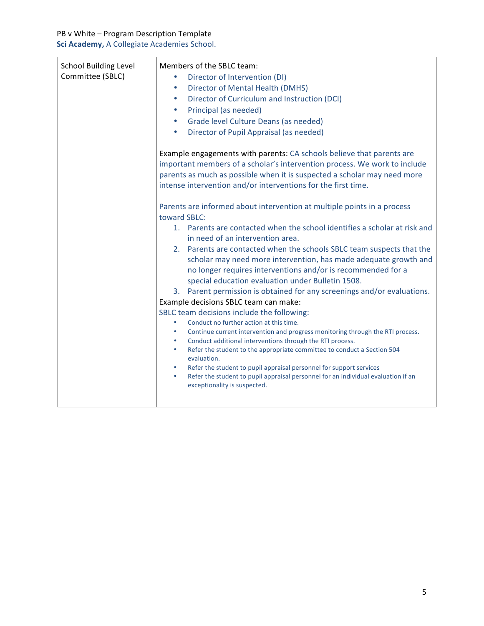| <b>School Building Level</b> | Members of the SBLC team:                                                                                                                                                                                                                                                                                                                                                                                                                                                                                                                                                                                                                    |
|------------------------------|----------------------------------------------------------------------------------------------------------------------------------------------------------------------------------------------------------------------------------------------------------------------------------------------------------------------------------------------------------------------------------------------------------------------------------------------------------------------------------------------------------------------------------------------------------------------------------------------------------------------------------------------|
| Committee (SBLC)             | Director of Intervention (DI)<br>$\bullet$                                                                                                                                                                                                                                                                                                                                                                                                                                                                                                                                                                                                   |
|                              | <b>Director of Mental Health (DMHS)</b><br>٠                                                                                                                                                                                                                                                                                                                                                                                                                                                                                                                                                                                                 |
|                              | Director of Curriculum and Instruction (DCI)<br>$\bullet$                                                                                                                                                                                                                                                                                                                                                                                                                                                                                                                                                                                    |
|                              | Principal (as needed)<br>$\bullet$                                                                                                                                                                                                                                                                                                                                                                                                                                                                                                                                                                                                           |
|                              | Grade level Culture Deans (as needed)<br>$\bullet$                                                                                                                                                                                                                                                                                                                                                                                                                                                                                                                                                                                           |
|                              | Director of Pupil Appraisal (as needed)<br>$\bullet$                                                                                                                                                                                                                                                                                                                                                                                                                                                                                                                                                                                         |
|                              | Example engagements with parents: CA schools believe that parents are<br>important members of a scholar's intervention process. We work to include<br>parents as much as possible when it is suspected a scholar may need more<br>intense intervention and/or interventions for the first time.                                                                                                                                                                                                                                                                                                                                              |
|                              | Parents are informed about intervention at multiple points in a process<br>toward SBLC:<br>1. Parents are contacted when the school identifies a scholar at risk and<br>in need of an intervention area.<br>2. Parents are contacted when the schools SBLC team suspects that the<br>scholar may need more intervention, has made adequate growth and<br>no longer requires interventions and/or is recommended for a<br>special education evaluation under Bulletin 1508.<br>3. Parent permission is obtained for any screenings and/or evaluations.<br>Example decisions SBLC team can make:<br>SBLC team decisions include the following: |
|                              | Conduct no further action at this time.<br>$\bullet$<br>Continue current intervention and progress monitoring through the RTI process.<br>$\bullet$<br>Conduct additional interventions through the RTI process.<br>$\bullet$<br>Refer the student to the appropriate committee to conduct a Section 504<br>$\bullet$                                                                                                                                                                                                                                                                                                                        |
|                              | evaluation.<br>Refer the student to pupil appraisal personnel for support services<br>٠<br>Refer the student to pupil appraisal personnel for an individual evaluation if an<br>$\bullet$<br>exceptionality is suspected.                                                                                                                                                                                                                                                                                                                                                                                                                    |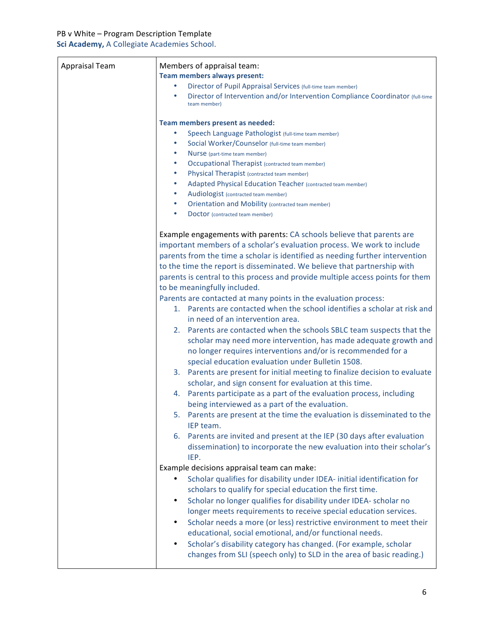| <b>Appraisal Team</b> | Members of appraisal team:<br><b>Team members always present:</b><br>Director of Pupil Appraisal Services (full-time team member)<br>Director of Intervention and/or Intervention Compliance Coordinator (full-time<br>$\bullet$<br>team member)<br>Team members present as needed:<br>Speech Language Pathologist (full-time team member)<br>$\bullet$<br>Social Worker/Counselor (full-time team member)<br>$\bullet$<br>Nurse (part-time team member)<br>$\bullet$                                                                                                                                                                                                                                                                                                                                                                                                                                                                                                                                                                                                                                                                                                                                                                                                                                                                                                                                             |
|-----------------------|-------------------------------------------------------------------------------------------------------------------------------------------------------------------------------------------------------------------------------------------------------------------------------------------------------------------------------------------------------------------------------------------------------------------------------------------------------------------------------------------------------------------------------------------------------------------------------------------------------------------------------------------------------------------------------------------------------------------------------------------------------------------------------------------------------------------------------------------------------------------------------------------------------------------------------------------------------------------------------------------------------------------------------------------------------------------------------------------------------------------------------------------------------------------------------------------------------------------------------------------------------------------------------------------------------------------------------------------------------------------------------------------------------------------|
|                       | <b>Occupational Therapist (contracted team member)</b><br>٠<br>Physical Therapist (contracted team member)<br>٠                                                                                                                                                                                                                                                                                                                                                                                                                                                                                                                                                                                                                                                                                                                                                                                                                                                                                                                                                                                                                                                                                                                                                                                                                                                                                                   |
|                       | Adapted Physical Education Teacher (contracted team member)<br>$\bullet$                                                                                                                                                                                                                                                                                                                                                                                                                                                                                                                                                                                                                                                                                                                                                                                                                                                                                                                                                                                                                                                                                                                                                                                                                                                                                                                                          |
|                       | Audiologist (contracted team member)<br>$\bullet$<br><b>Orientation and Mobility (contracted team member)</b><br>$\bullet$                                                                                                                                                                                                                                                                                                                                                                                                                                                                                                                                                                                                                                                                                                                                                                                                                                                                                                                                                                                                                                                                                                                                                                                                                                                                                        |
|                       | $\bullet$<br>Doctor (contracted team member)                                                                                                                                                                                                                                                                                                                                                                                                                                                                                                                                                                                                                                                                                                                                                                                                                                                                                                                                                                                                                                                                                                                                                                                                                                                                                                                                                                      |
|                       | Example engagements with parents: CA schools believe that parents are<br>important members of a scholar's evaluation process. We work to include<br>parents from the time a scholar is identified as needing further intervention<br>to the time the report is disseminated. We believe that partnership with<br>parents is central to this process and provide multiple access points for them<br>to be meaningfully included.<br>Parents are contacted at many points in the evaluation process:<br>1. Parents are contacted when the school identifies a scholar at risk and<br>in need of an intervention area.<br>2. Parents are contacted when the schools SBLC team suspects that the<br>scholar may need more intervention, has made adequate growth and<br>no longer requires interventions and/or is recommended for a<br>special education evaluation under Bulletin 1508.<br>3. Parents are present for initial meeting to finalize decision to evaluate<br>scholar, and sign consent for evaluation at this time.<br>Parents participate as a part of the evaluation process, including<br>4.<br>being interviewed as a part of the evaluation.<br>5. Parents are present at the time the evaluation is disseminated to the<br>IEP team.<br>6. Parents are invited and present at the IEP (30 days after evaluation<br>dissemination) to incorporate the new evaluation into their scholar's<br>IEP. |
|                       | Example decisions appraisal team can make:<br>Scholar qualifies for disability under IDEA- initial identification for<br>٠<br>scholars to qualify for special education the first time.<br>Scholar no longer qualifies for disability under IDEA- scholar no<br>$\bullet$<br>longer meets requirements to receive special education services.<br>Scholar needs a more (or less) restrictive environment to meet their<br>educational, social emotional, and/or functional needs.<br>Scholar's disability category has changed. (For example, scholar<br>$\bullet$<br>changes from SLI (speech only) to SLD in the area of basic reading.)                                                                                                                                                                                                                                                                                                                                                                                                                                                                                                                                                                                                                                                                                                                                                                         |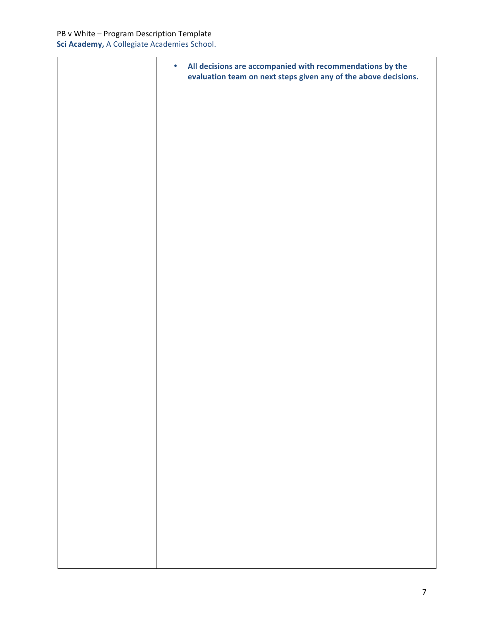| All decisions are accompanied with recommendations by the<br>$\bullet$<br>evaluation team on next steps given any of the above decisions. |
|-------------------------------------------------------------------------------------------------------------------------------------------|
|                                                                                                                                           |
|                                                                                                                                           |
|                                                                                                                                           |
|                                                                                                                                           |
|                                                                                                                                           |
|                                                                                                                                           |
|                                                                                                                                           |
|                                                                                                                                           |
|                                                                                                                                           |
|                                                                                                                                           |
|                                                                                                                                           |
|                                                                                                                                           |
|                                                                                                                                           |
|                                                                                                                                           |
|                                                                                                                                           |
|                                                                                                                                           |
|                                                                                                                                           |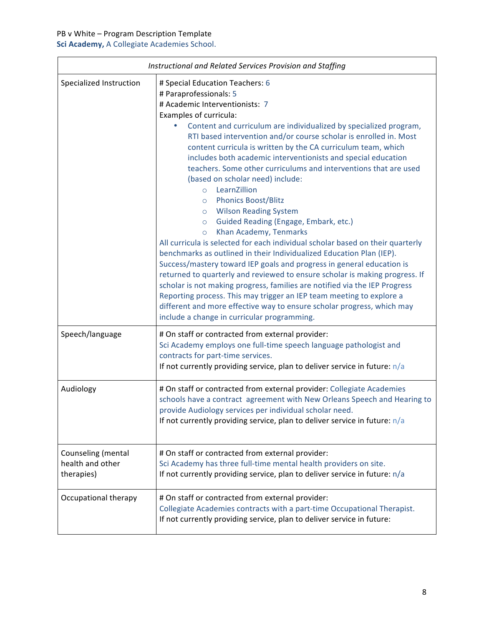| Instructional and Related Services Provision and Staffing |                                                                                                                                                                                                                                                                                                                                                                                                                                                                                                                                                                                                                                                                                                                                                                                                                                                                                                                                                                                                                                                                                                                                                                                                                                                                                                                         |  |
|-----------------------------------------------------------|-------------------------------------------------------------------------------------------------------------------------------------------------------------------------------------------------------------------------------------------------------------------------------------------------------------------------------------------------------------------------------------------------------------------------------------------------------------------------------------------------------------------------------------------------------------------------------------------------------------------------------------------------------------------------------------------------------------------------------------------------------------------------------------------------------------------------------------------------------------------------------------------------------------------------------------------------------------------------------------------------------------------------------------------------------------------------------------------------------------------------------------------------------------------------------------------------------------------------------------------------------------------------------------------------------------------------|--|
| Specialized Instruction                                   | # Special Education Teachers: 6<br># Paraprofessionals: 5<br># Academic Interventionists: 7<br>Examples of curricula:<br>Content and curriculum are individualized by specialized program,<br>۰<br>RTI based intervention and/or course scholar is enrolled in. Most<br>content curricula is written by the CA curriculum team, which<br>includes both academic interventionists and special education<br>teachers. Some other curriculums and interventions that are used<br>(based on scholar need) include:<br>LearnZillion<br>$\circ$<br><b>Phonics Boost/Blitz</b><br>$\circ$<br><b>Wilson Reading System</b><br>$\circ$<br>Guided Reading (Engage, Embark, etc.)<br>$\circ$<br>Khan Academy, Tenmarks<br>$\circ$<br>All curricula is selected for each individual scholar based on their quarterly<br>benchmarks as outlined in their Individualized Education Plan (IEP).<br>Success/mastery toward IEP goals and progress in general education is<br>returned to quarterly and reviewed to ensure scholar is making progress. If<br>scholar is not making progress, families are notified via the IEP Progress<br>Reporting process. This may trigger an IEP team meeting to explore a<br>different and more effective way to ensure scholar progress, which may<br>include a change in curricular programming. |  |
| Speech/language                                           | # On staff or contracted from external provider:<br>Sci Academy employs one full-time speech language pathologist and<br>contracts for part-time services.<br>If not currently providing service, plan to deliver service in future: $n/a$                                                                                                                                                                                                                                                                                                                                                                                                                                                                                                                                                                                                                                                                                                                                                                                                                                                                                                                                                                                                                                                                              |  |
| Audiology                                                 | # On staff or contracted from external provider: Collegiate Academies<br>schools have a contract agreement with New Orleans Speech and Hearing to<br>provide Audiology services per individual scholar need.<br>If not currently providing service, plan to deliver service in future: $n/a$                                                                                                                                                                                                                                                                                                                                                                                                                                                                                                                                                                                                                                                                                                                                                                                                                                                                                                                                                                                                                            |  |
| Counseling (mental<br>health and other<br>therapies)      | # On staff or contracted from external provider:<br>Sci Academy has three full-time mental health providers on site.<br>If not currently providing service, plan to deliver service in future: n/a                                                                                                                                                                                                                                                                                                                                                                                                                                                                                                                                                                                                                                                                                                                                                                                                                                                                                                                                                                                                                                                                                                                      |  |
| Occupational therapy                                      | # On staff or contracted from external provider:<br>Collegiate Academies contracts with a part-time Occupational Therapist.<br>If not currently providing service, plan to deliver service in future:                                                                                                                                                                                                                                                                                                                                                                                                                                                                                                                                                                                                                                                                                                                                                                                                                                                                                                                                                                                                                                                                                                                   |  |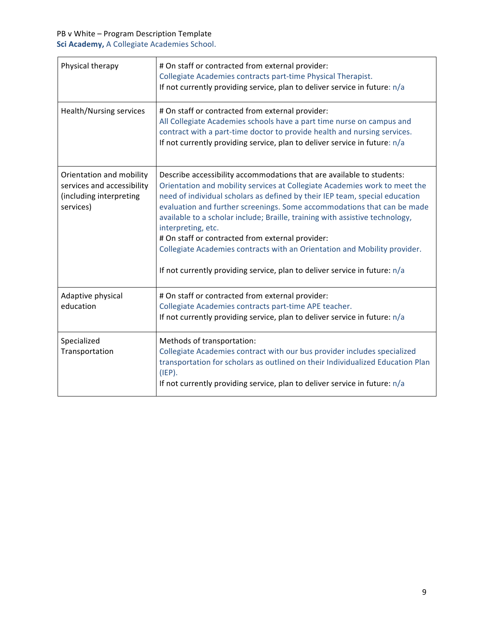| Physical therapy                                                                               | # On staff or contracted from external provider:<br>Collegiate Academies contracts part-time Physical Therapist.<br>If not currently providing service, plan to deliver service in future: n/a                                                                                                                                                                                                                                                                                                                                                                                                                                     |
|------------------------------------------------------------------------------------------------|------------------------------------------------------------------------------------------------------------------------------------------------------------------------------------------------------------------------------------------------------------------------------------------------------------------------------------------------------------------------------------------------------------------------------------------------------------------------------------------------------------------------------------------------------------------------------------------------------------------------------------|
| <b>Health/Nursing services</b>                                                                 | # On staff or contracted from external provider:<br>All Collegiate Academies schools have a part time nurse on campus and<br>contract with a part-time doctor to provide health and nursing services.<br>If not currently providing service, plan to deliver service in future: n/a                                                                                                                                                                                                                                                                                                                                                |
| Orientation and mobility<br>services and accessibility<br>(including interpreting<br>services) | Describe accessibility accommodations that are available to students:<br>Orientation and mobility services at Collegiate Academies work to meet the<br>need of individual scholars as defined by their IEP team, special education<br>evaluation and further screenings. Some accommodations that can be made<br>available to a scholar include; Braille, training with assistive technology,<br>interpreting, etc.<br># On staff or contracted from external provider:<br>Collegiate Academies contracts with an Orientation and Mobility provider.<br>If not currently providing service, plan to deliver service in future: n/a |
| Adaptive physical<br>education                                                                 | # On staff or contracted from external provider:<br>Collegiate Academies contracts part-time APE teacher.<br>If not currently providing service, plan to deliver service in future: $n/a$                                                                                                                                                                                                                                                                                                                                                                                                                                          |
| Specialized<br>Transportation                                                                  | Methods of transportation:<br>Collegiate Academies contract with our bus provider includes specialized<br>transportation for scholars as outlined on their Individualized Education Plan<br>(IEP).<br>If not currently providing service, plan to deliver service in future: n/a                                                                                                                                                                                                                                                                                                                                                   |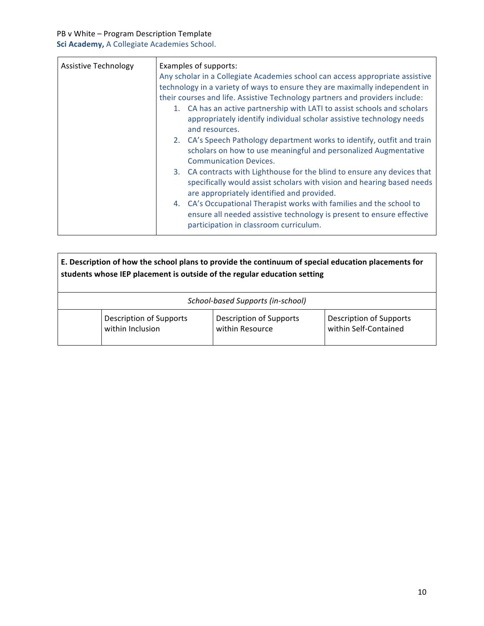| Assistive Technology | Examples of supports:<br>Any scholar in a Collegiate Academies school can access appropriate assistive<br>technology in a variety of ways to ensure they are maximally independent in<br>their courses and life. Assistive Technology partners and providers include:<br>1. CA has an active partnership with LATI to assist schools and scholars<br>appropriately identify individual scholar assistive technology needs<br>and resources.<br>2. CA's Speech Pathology department works to identify, outfit and train<br>scholars on how to use meaningful and personalized Augmentative<br><b>Communication Devices.</b><br>3. CA contracts with Lighthouse for the blind to ensure any devices that<br>specifically would assist scholars with vision and hearing based needs<br>are appropriately identified and provided. |
|----------------------|--------------------------------------------------------------------------------------------------------------------------------------------------------------------------------------------------------------------------------------------------------------------------------------------------------------------------------------------------------------------------------------------------------------------------------------------------------------------------------------------------------------------------------------------------------------------------------------------------------------------------------------------------------------------------------------------------------------------------------------------------------------------------------------------------------------------------------|
|                      | 4. CA's Occupational Therapist works with families and the school to<br>ensure all needed assistive technology is present to ensure effective<br>participation in classroom curriculum.                                                                                                                                                                                                                                                                                                                                                                                                                                                                                                                                                                                                                                        |

| E. Description of how the school plans to provide the continuum of special education placements for<br>students whose IEP placement is outside of the regular education setting |                                                    |                                                   |                                                  |
|---------------------------------------------------------------------------------------------------------------------------------------------------------------------------------|----------------------------------------------------|---------------------------------------------------|--------------------------------------------------|
|                                                                                                                                                                                 | School-based Supports (in-school)                  |                                                   |                                                  |
|                                                                                                                                                                                 | <b>Description of Supports</b><br>within Inclusion | <b>Description of Supports</b><br>within Resource | Description of Supports<br>within Self-Contained |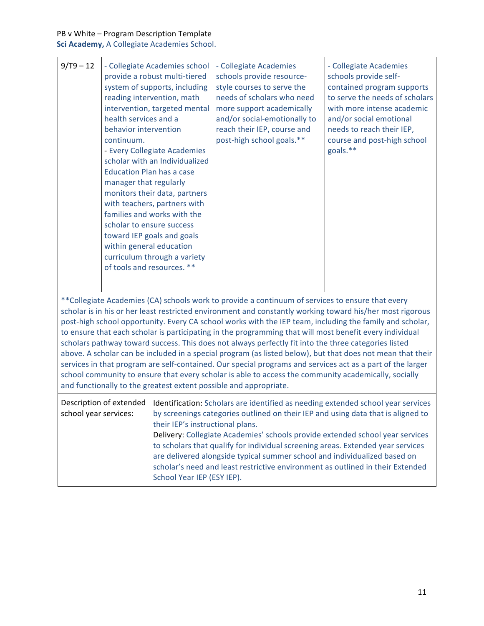## PB v White – Program Description Template

| $9/T9 - 12$                                                                                                                                                                                                                                                                                                                                                                                                                                                                                                                                                                                                                                                                                                                                                                                                                                                                                                                                            | health services and a<br>behavior intervention<br>continuum.<br><b>Education Plan has a case</b><br>manager that regularly<br>scholar to ensure success<br>within general education<br>of tools and resources. ** | - Collegiate Academies school<br>provide a robust multi-tiered<br>system of supports, including<br>reading intervention, math<br>intervention, targeted mental<br>- Every Collegiate Academies<br>scholar with an Individualized<br>monitors their data, partners<br>with teachers, partners with<br>families and works with the<br>toward IEP goals and goals<br>curriculum through a variety | - Collegiate Academies<br>schools provide resource-<br>style courses to serve the<br>needs of scholars who need<br>more support academically<br>and/or social-emotionally to<br>reach their IEP, course and<br>post-high school goals.**                                                                                                                                                                                                                                                                | - Collegiate Academies<br>schools provide self-<br>contained program supports<br>to serve the needs of scholars<br>with more intense academic<br>and/or social emotional<br>needs to reach their IEP,<br>course and post-high school<br>goals.** |
|--------------------------------------------------------------------------------------------------------------------------------------------------------------------------------------------------------------------------------------------------------------------------------------------------------------------------------------------------------------------------------------------------------------------------------------------------------------------------------------------------------------------------------------------------------------------------------------------------------------------------------------------------------------------------------------------------------------------------------------------------------------------------------------------------------------------------------------------------------------------------------------------------------------------------------------------------------|-------------------------------------------------------------------------------------------------------------------------------------------------------------------------------------------------------------------|------------------------------------------------------------------------------------------------------------------------------------------------------------------------------------------------------------------------------------------------------------------------------------------------------------------------------------------------------------------------------------------------|---------------------------------------------------------------------------------------------------------------------------------------------------------------------------------------------------------------------------------------------------------------------------------------------------------------------------------------------------------------------------------------------------------------------------------------------------------------------------------------------------------|--------------------------------------------------------------------------------------------------------------------------------------------------------------------------------------------------------------------------------------------------|
| ** Collegiate Academies (CA) schools work to provide a continuum of services to ensure that every<br>scholar is in his or her least restricted environment and constantly working toward his/her most rigorous<br>post-high school opportunity. Every CA school works with the IEP team, including the family and scholar,<br>to ensure that each scholar is participating in the programming that will most benefit every individual<br>scholars pathway toward success. This does not always perfectly fit into the three categories listed<br>above. A scholar can be included in a special program (as listed below), but that does not mean that their<br>services in that program are self-contained. Our special programs and services act as a part of the larger<br>school community to ensure that every scholar is able to access the community academically, socially<br>and functionally to the greatest extent possible and appropriate. |                                                                                                                                                                                                                   |                                                                                                                                                                                                                                                                                                                                                                                                |                                                                                                                                                                                                                                                                                                                                                                                                                                                                                                         |                                                                                                                                                                                                                                                  |
| school year services:                                                                                                                                                                                                                                                                                                                                                                                                                                                                                                                                                                                                                                                                                                                                                                                                                                                                                                                                  | Description of extended                                                                                                                                                                                           | their IEP's instructional plans.<br>School Year IEP (ESY IEP).                                                                                                                                                                                                                                                                                                                                 | Identification: Scholars are identified as needing extended school year services<br>by screenings categories outlined on their IEP and using data that is aligned to<br>Delivery: Collegiate Academies' schools provide extended school year services<br>to scholars that qualify for individual screening areas. Extended year services<br>are delivered alongside typical summer school and individualized based on<br>scholar's need and least restrictive environment as outlined in their Extended |                                                                                                                                                                                                                                                  |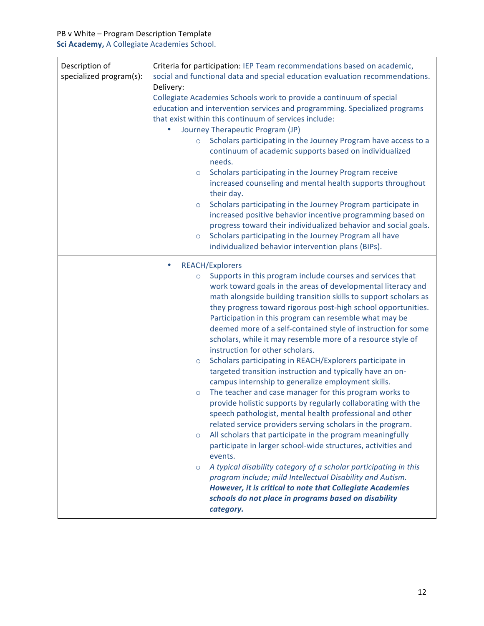| Description of<br>specialized program(s): | Criteria for participation: IEP Team recommendations based on academic,<br>social and functional data and special education evaluation recommendations.<br>Delivery:<br>Collegiate Academies Schools work to provide a continuum of special<br>education and intervention services and programming. Specialized programs<br>that exist within this continuum of services include:<br>Journey Therapeutic Program (JP)<br>Scholars participating in the Journey Program have access to a<br>$\circ$<br>continuum of academic supports based on individualized<br>needs.<br>Scholars participating in the Journey Program receive<br>$\circ$<br>increased counseling and mental health supports throughout<br>their day.<br>Scholars participating in the Journey Program participate in<br>$\circ$<br>increased positive behavior incentive programming based on<br>progress toward their individualized behavior and social goals.<br>Scholars participating in the Journey Program all have<br>$\circ$<br>individualized behavior intervention plans (BIPs).                                                                                                                                                                                                                                                                                                                                                                |
|-------------------------------------------|------------------------------------------------------------------------------------------------------------------------------------------------------------------------------------------------------------------------------------------------------------------------------------------------------------------------------------------------------------------------------------------------------------------------------------------------------------------------------------------------------------------------------------------------------------------------------------------------------------------------------------------------------------------------------------------------------------------------------------------------------------------------------------------------------------------------------------------------------------------------------------------------------------------------------------------------------------------------------------------------------------------------------------------------------------------------------------------------------------------------------------------------------------------------------------------------------------------------------------------------------------------------------------------------------------------------------------------------------------------------------------------------------------------------------|
|                                           | <b>REACH/Explorers</b><br>Supports in this program include courses and services that<br>$\circ$<br>work toward goals in the areas of developmental literacy and<br>math alongside building transition skills to support scholars as<br>they progress toward rigorous post-high school opportunities.<br>Participation in this program can resemble what may be<br>deemed more of a self-contained style of instruction for some<br>scholars, while it may resemble more of a resource style of<br>instruction for other scholars.<br>Scholars participating in REACH/Explorers participate in<br>$\circ$<br>targeted transition instruction and typically have an on-<br>campus internship to generalize employment skills.<br>The teacher and case manager for this program works to<br>$\circ$<br>provide holistic supports by regularly collaborating with the<br>speech pathologist, mental health professional and other<br>related service providers serving scholars in the program.<br>All scholars that participate in the program meaningfully<br>$\circ$<br>participate in larger school-wide structures, activities and<br>events.<br>A typical disability category of a scholar participating in this<br>$\circ$<br>program include; mild Intellectual Disability and Autism.<br>However, it is critical to note that Collegiate Academies<br>schools do not place in programs based on disability<br>category. |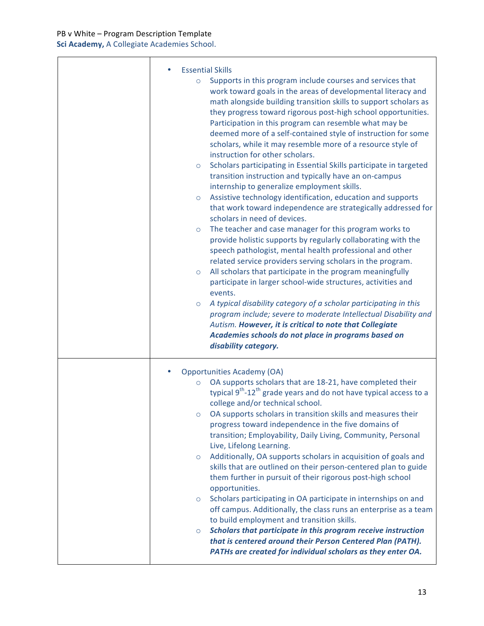| <b>Essential Skills</b>                                                                                                                                                                                                                                                                                                                                                                                                                                                                                                                                                                                                                                                                                                                                                                                                                                                                                                                                                                                                                                                                                                                                                                                                                                                                                                                                                                                                                                                                                                                                                                     |
|---------------------------------------------------------------------------------------------------------------------------------------------------------------------------------------------------------------------------------------------------------------------------------------------------------------------------------------------------------------------------------------------------------------------------------------------------------------------------------------------------------------------------------------------------------------------------------------------------------------------------------------------------------------------------------------------------------------------------------------------------------------------------------------------------------------------------------------------------------------------------------------------------------------------------------------------------------------------------------------------------------------------------------------------------------------------------------------------------------------------------------------------------------------------------------------------------------------------------------------------------------------------------------------------------------------------------------------------------------------------------------------------------------------------------------------------------------------------------------------------------------------------------------------------------------------------------------------------|
| Supports in this program include courses and services that<br>$\circ$<br>work toward goals in the areas of developmental literacy and<br>math alongside building transition skills to support scholars as<br>they progress toward rigorous post-high school opportunities.<br>Participation in this program can resemble what may be<br>deemed more of a self-contained style of instruction for some<br>scholars, while it may resemble more of a resource style of<br>instruction for other scholars.<br>Scholars participating in Essential Skills participate in targeted<br>$\circ$<br>transition instruction and typically have an on-campus<br>internship to generalize employment skills.<br>Assistive technology identification, education and supports<br>$\circ$<br>that work toward independence are strategically addressed for<br>scholars in need of devices.<br>The teacher and case manager for this program works to<br>$\circ$<br>provide holistic supports by regularly collaborating with the<br>speech pathologist, mental health professional and other<br>related service providers serving scholars in the program.<br>All scholars that participate in the program meaningfully<br>$\circ$<br>participate in larger school-wide structures, activities and<br>events.<br>A typical disability category of a scholar participating in this<br>$\circ$<br>program include; severe to moderate Intellectual Disability and<br>Autism. However, it is critical to note that Collegiate<br>Academies schools do not place in programs based on<br>disability category. |
| <b>Opportunities Academy (OA)</b><br>OA supports scholars that are 18-21, have completed their<br>$\circ$<br>typical 9 <sup>th</sup> -12 <sup>th</sup> grade years and do not have typical access to a<br>college and/or technical school.<br>OA supports scholars in transition skills and measures their<br>$\circ$<br>progress toward independence in the five domains of<br>transition; Employability, Daily Living, Community, Personal<br>Live, Lifelong Learning.<br>Additionally, OA supports scholars in acquisition of goals and<br>$\circ$<br>skills that are outlined on their person-centered plan to guide<br>them further in pursuit of their rigorous post-high school<br>opportunities.<br>Scholars participating in OA participate in internships on and<br>$\circ$<br>off campus. Additionally, the class runs an enterprise as a team<br>to build employment and transition skills.<br>Scholars that participate in this program receive instruction<br>$\circ$<br>that is centered around their Person Centered Plan (PATH).<br>PATHs are created for individual scholars as they enter OA.                                                                                                                                                                                                                                                                                                                                                                                                                                                                            |

٦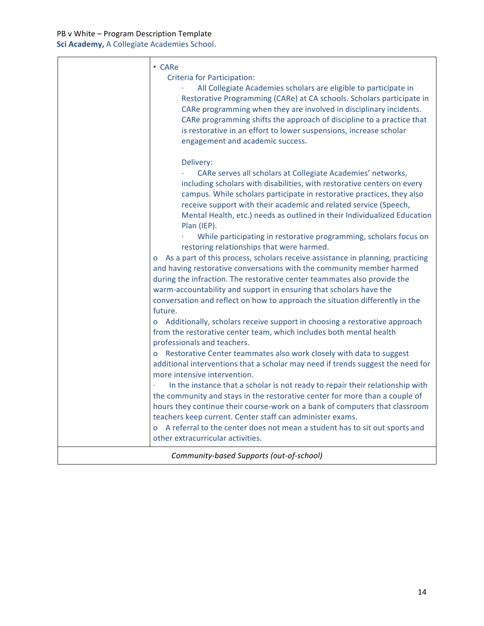|                                          | $\cdot$ CARe<br>Criteria for Participation:<br>All Collegiate Academies scholars are eligible to participate in<br>Restorative Programming (CARe) at CA schools. Scholars participate in<br>CARe programming when they are involved in disciplinary incidents.<br>CARe programming shifts the approach of discipline to a practice that<br>is restorative in an effort to lower suspensions, increase scholar<br>engagement and academic success.                                                                        |
|------------------------------------------|--------------------------------------------------------------------------------------------------------------------------------------------------------------------------------------------------------------------------------------------------------------------------------------------------------------------------------------------------------------------------------------------------------------------------------------------------------------------------------------------------------------------------|
|                                          | Delivery:<br>CARe serves all scholars at Collegiate Academies' networks,<br>including scholars with disabilities, with restorative centers on every<br>campus. While scholars participate in restorative practices, they also<br>receive support with their academic and related service (Speech,<br>Mental Health, etc.) needs as outlined in their Individualized Education<br>Plan (IEP).                                                                                                                             |
|                                          | While participating in restorative programming, scholars focus on<br>restoring relationships that were harmed.<br>o As a part of this process, scholars receive assistance in planning, practicing<br>and having restorative conversations with the community member harmed<br>during the infraction. The restorative center teammates also provide the<br>warm-accountability and support in ensuring that scholars have the<br>conversation and reflect on how to approach the situation differently in the<br>future. |
|                                          | Additionally, scholars receive support in choosing a restorative approach<br>from the restorative center team, which includes both mental health<br>professionals and teachers.<br>Restorative Center teammates also work closely with data to suggest<br>additional interventions that a scholar may need if trends suggest the need for<br>more intensive intervention.                                                                                                                                                |
|                                          | In the instance that a scholar is not ready to repair their relationship with<br>the community and stays in the restorative center for more than a couple of<br>hours they continue their course-work on a bank of computers that classroom<br>teachers keep current. Center staff can administer exams.<br>o A referral to the center does not mean a student has to sit out sports and<br>other extracurricular activities.                                                                                            |
| Community-based Supports (out-of-school) |                                                                                                                                                                                                                                                                                                                                                                                                                                                                                                                          |